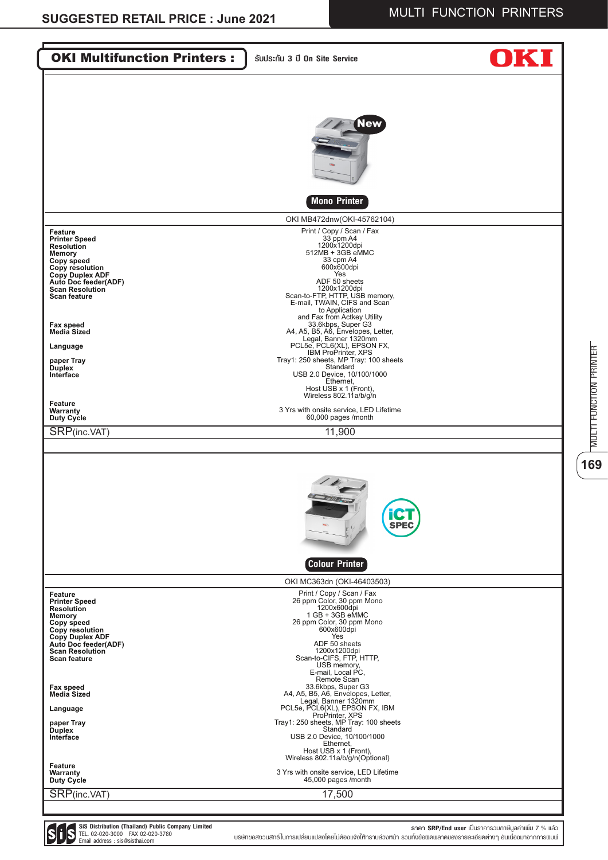| <b>OKI Multifunction Printers:</b>                                                                                                                                                                 | SUUS:nu 3 ปี On Site Service                                                                                                                                                                                                                               |  |
|----------------------------------------------------------------------------------------------------------------------------------------------------------------------------------------------------|------------------------------------------------------------------------------------------------------------------------------------------------------------------------------------------------------------------------------------------------------------|--|
|                                                                                                                                                                                                    |                                                                                                                                                                                                                                                            |  |
|                                                                                                                                                                                                    | <b>New</b>                                                                                                                                                                                                                                                 |  |
|                                                                                                                                                                                                    | <b>Mono Printer</b>                                                                                                                                                                                                                                        |  |
|                                                                                                                                                                                                    | OKI MB472dnw(OKI-45762104)                                                                                                                                                                                                                                 |  |
| Feature<br><b>Printer Speed</b><br><b>Resolution</b><br><b>Memory</b><br>Copy speed<br>Copy resolution<br>Copy Duplex ADF<br>Auto Doc feeder(ADF)<br><b>Scan Resolution</b><br><b>Scan feature</b> | Print / Copy / Scan / Fax<br>33 ppm A4<br>1200x1200dpi<br>512MB + 3GB eMMC<br>33 cpm A4<br>600x600dpi<br>Yes<br>ADF 50 sheets<br>1200x1200dpi<br>Scan-to-FTP, HTTP, USB memory,<br>E-mail, TWAIN, CIFS and Scan                                            |  |
| Fax speed                                                                                                                                                                                          | to Application<br>and Fax from Actkey Utility<br>33.6kbps, Super G3                                                                                                                                                                                        |  |
| <b>Media Sized</b>                                                                                                                                                                                 | A4, A5, B5, A6, Envelopes, Letter,<br>Legal, Banner 1320mm<br>PCL5e, PCL6(XL), EPSON FX,                                                                                                                                                                   |  |
| Language                                                                                                                                                                                           | <b>IBM ProPrinter, XPS</b>                                                                                                                                                                                                                                 |  |
| paper Tray<br><b>Duplex</b><br>Interface                                                                                                                                                           | Tray1: 250 sheets, MP Tray: 100 sheets<br>Standard<br>USB 2.0 Device, 10/100/1000<br>Ethernet,<br>Host USB x 1 (Front),<br>Wireless 802.11a/b/g/n                                                                                                          |  |
| Feature<br>Warranty<br>Duty Cycle                                                                                                                                                                  | 3 Yrs with onsite service, LED Lifetime<br>60,000 pages /month                                                                                                                                                                                             |  |
| SRP(inc.VAT)                                                                                                                                                                                       | 11,900                                                                                                                                                                                                                                                     |  |
|                                                                                                                                                                                                    |                                                                                                                                                                                                                                                            |  |
|                                                                                                                                                                                                    | $\frac{1}{2}$<br><b>Tollet</b><br><b>SPE</b><br>FV<br><b>Colour Printer</b>                                                                                                                                                                                |  |
|                                                                                                                                                                                                    | OKI MC363dn (OKI-46403503)                                                                                                                                                                                                                                 |  |
| Feature<br><b>Printer Speed</b><br><b>Resolution</b><br><b>Memory</b><br>Copy speed<br>Copy resolution<br><b>Copy Duplex ADF</b><br>Auto Doc feeder(ADF)<br><b>Scan Resolution</b><br>Scan feature | Print / Copy / Scan / Fax<br>26 ppm Color, 30 ppm Mono<br>1200x600dpi<br>1 GB + 3GB eMMC<br>26 ppm Color, 30 ppm Mono<br>600x600dpi<br>Yes<br>ADF 50 sheets<br>1200x1200dpi<br>Scan-to-CIFS, FTP, HTTP,<br>USB memory,<br>E-mail, Local PC,<br>Remote Scan |  |
| Fax speed<br><b>Media Sized</b>                                                                                                                                                                    | 33.6kbps, Super G3<br>A4, A5, B5, A6, Envelopes, Letter,<br>Legal, Banner 1320mm                                                                                                                                                                           |  |
| Language                                                                                                                                                                                           | PCL5e, PCL6(XL), EPSON FX, IBM<br>ProPrinter, XPS                                                                                                                                                                                                          |  |
| paper Tray<br><b>Duplex</b><br>Interface                                                                                                                                                           | Tray1: 250 sheets, MP Tray: 100 sheets<br>Standard<br>USB 2.0 Device, 10/100/1000<br>Ethernet,<br>Host USB x 1 (Front),<br>Wireless 802.11a/b/g/n(Optional)                                                                                                |  |
| Feature<br>Warranty<br>Duty Cycle                                                                                                                                                                  | 3 Yrs with onsite service, LED Lifetime<br>45,000 pages /month                                                                                                                                                                                             |  |
| SRP(inc.VAT)                                                                                                                                                                                       | 17,500                                                                                                                                                                                                                                                     |  |

**SiS Distribution (Thailand) Public Company Limited** TEL. 02-020-3000 FAX 02-020-3780 Email address : sis@sisthai.com บริษัทขอสงวนสิทธิ์ในการเปลี่ยนแปลงโดยไม่ต้องแจ้งให้ทราบล่วงหน้า รวมทั้งข้อผิดพลาดของรายละเอียดต่างๆ อันเนื่องมาจากการพิมพ์

**ราคา SRP/End user** เป็นราคารวมภาษีมูลค่าเพิ่ม 7 % แล้ว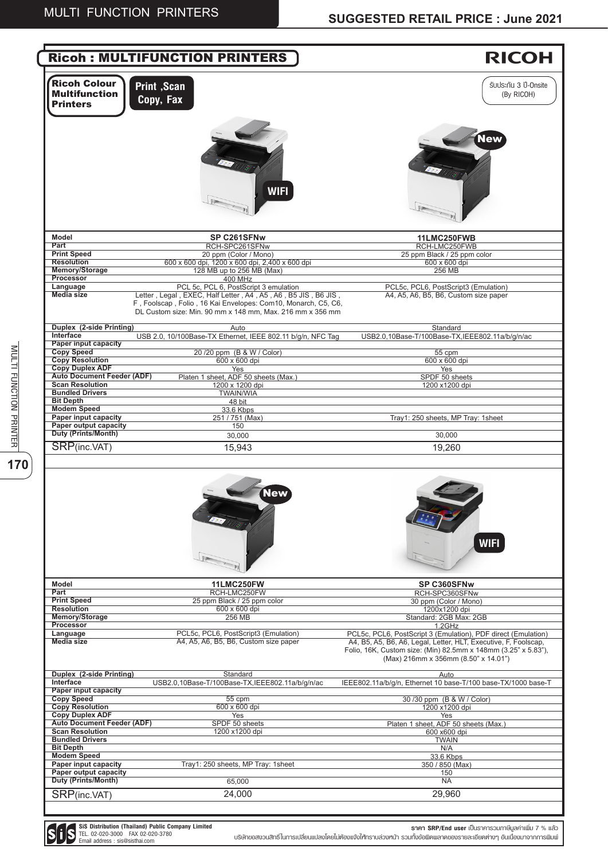**SiS Distribution (Thailand) Public Company Limited** TEL. 02-020-3000 FAX 02-020-3780 Email address : sis@sisthai.com

**ราคา SRP/End user** เป็นราคารวมภาษีมูลค่าเพิ่ม 7 % แล้ว

|                                                                | <b>Ricoh: MULTIFUNCTION PRINTERS</b>                                                                                                                                                        | <b>RICOH</b>                                                                                                                                                                                                                               |
|----------------------------------------------------------------|---------------------------------------------------------------------------------------------------------------------------------------------------------------------------------------------|--------------------------------------------------------------------------------------------------------------------------------------------------------------------------------------------------------------------------------------------|
| <b>Ricoh Colour</b><br><b>Multifunction</b><br><b>Printers</b> | <b>Print</b> , Scan<br>Copy, Fax                                                                                                                                                            | SUUS:nu 3 ปี-Onsite<br>(By RICOH)                                                                                                                                                                                                          |
|                                                                | <b>WIFI</b>                                                                                                                                                                                 | <b>New</b>                                                                                                                                                                                                                                 |
| <b>Model</b>                                                   | SP C261SFNw                                                                                                                                                                                 | 11LMC250FWB                                                                                                                                                                                                                                |
| Part                                                           | RCH-SPC261SFNw                                                                                                                                                                              | RCH-LMC250FWB                                                                                                                                                                                                                              |
| <b>Print Speed</b><br><b>Resolution</b>                        | 20 ppm (Color / Mono)                                                                                                                                                                       | 25 ppm Black / 25 ppm color                                                                                                                                                                                                                |
| Memory/Storage                                                 | 600 x 600 dpi, 1200 x 600 dpi, 2,400 x 600 dpi<br>128 MB up to 256 MB (Max)                                                                                                                 | 600 x 600 dpi<br>256 MB                                                                                                                                                                                                                    |
| Processor                                                      | 400 MHz                                                                                                                                                                                     |                                                                                                                                                                                                                                            |
| Language                                                       | PCL 5c. PCL 6. PostScript 3 emulation                                                                                                                                                       | PCL5c, PCL6, PostScript3 (Emulation)                                                                                                                                                                                                       |
| <b>Media size</b>                                              | Letter, Legal, EXEC, Half Letter, A4, A5, A6, B5 JIS, B6 JIS,<br>F, Foolscap, Folio, 16 Kai Envelopes: Com10, Monarch, C5, C6,<br>DL Custom size: Min. 90 mm x 148 mm, Max. 216 mm x 356 mm | A4, A5, A6, B5, B6, Custom size paper                                                                                                                                                                                                      |
| Duplex (2-side Printing)<br>Interface                          | Auto<br>USB 2.0, 10/100Base-TX Ethernet, IEEE 802.11 b/g/n, NFC Tag                                                                                                                         | Standard<br>USB2.0.10Base-T/100Base-TX.IEEE802.11a/b/g/n/ac                                                                                                                                                                                |
| <b>Paper input capacity</b>                                    |                                                                                                                                                                                             |                                                                                                                                                                                                                                            |
| <b>Copy Speed</b>                                              | 20/20 ppm (B & W / Color)                                                                                                                                                                   | 55 cpm                                                                                                                                                                                                                                     |
| <b>Copy Resolution</b>                                         | 600 x 600 dpi                                                                                                                                                                               | 600 x 600 dpi                                                                                                                                                                                                                              |
| <b>Copy Duplex ADF</b><br><b>Auto Document Feeder (ADF)</b>    | Yes<br>Platen 1 sheet, ADF 50 sheets (Max.)                                                                                                                                                 | Yes<br>SPDF 50 sheets                                                                                                                                                                                                                      |
| <b>Scan Resolution</b>                                         | 1200 x 1200 dpi                                                                                                                                                                             | 1200 x1200 dpi                                                                                                                                                                                                                             |
| <b>Bundled Drivers</b>                                         | <b>TWAIN/WIA</b>                                                                                                                                                                            |                                                                                                                                                                                                                                            |
| <b>Bit Depth</b>                                               | 48 bit                                                                                                                                                                                      |                                                                                                                                                                                                                                            |
| <b>Modem Speed</b><br>Paper input capacity                     | 33.6 Kbps                                                                                                                                                                                   |                                                                                                                                                                                                                                            |
| Paper output capacity                                          | 251 / 751 (Max)<br>150                                                                                                                                                                      | Tray1: 250 sheets, MP Tray: 1sheet                                                                                                                                                                                                         |
| Duty (Prints/Month)                                            | 30,000                                                                                                                                                                                      | 30,000                                                                                                                                                                                                                                     |
| SRP(inc.VAT)                                                   | 15,943                                                                                                                                                                                      | 19,260                                                                                                                                                                                                                                     |
|                                                                |                                                                                                                                                                                             |                                                                                                                                                                                                                                            |
|                                                                | <b>New</b>                                                                                                                                                                                  | <b>WIFI</b>                                                                                                                                                                                                                                |
| <b>Model</b>                                                   | <b>11LMC250FW</b>                                                                                                                                                                           | SP C360SFNw                                                                                                                                                                                                                                |
| Part<br><b>Print Speed</b>                                     | RCH-LMC250FW<br>25 ppm Black / 25 ppm color                                                                                                                                                 | RCH-SPC360SFNw<br>30 ppm (Color / Mono)                                                                                                                                                                                                    |
| <b>Resolution</b>                                              | 600 x 600 dpi                                                                                                                                                                               | 1200x1200 dpi                                                                                                                                                                                                                              |
| Memory/Storage                                                 | 256 MB                                                                                                                                                                                      | Standard: 2GB Max: 2GB                                                                                                                                                                                                                     |
| Processor                                                      |                                                                                                                                                                                             | 1.2GHz                                                                                                                                                                                                                                     |
| Language<br><b>Media size</b>                                  | PCL5c, PCL6, PostScript3 (Emulation)<br>A4, A5, A6, B5, B6, Custom size paper                                                                                                               | PCL5c, PCL6, PostScript 3 (Emulation), PDF direct (Emulation)<br>A4, B5, A5, B6, A6, Legal, Letter, HLT, Executive, F, Foolscap,<br>Folio, 16K, Custom size: (Min) 82.5mm x 148mm (3.25" x 5.83"),<br>(Max) 216mm x 356mm (8.50" x 14.01") |
| Duplex (2-side Printing)<br>Interface                          | Standard<br>USB2.0,10Base-T/100Base-TX,IEEE802.11a/b/g/n/ac                                                                                                                                 | Auto<br>IEEE802.11a/b/g/n, Ethernet 10 base-T/100 base-TX/1000 base-T                                                                                                                                                                      |
| <b>Paper input capacity</b>                                    |                                                                                                                                                                                             |                                                                                                                                                                                                                                            |
| <b>Copy Speed</b>                                              | 55 cpm                                                                                                                                                                                      | 30/30 ppm (B & W / Color)                                                                                                                                                                                                                  |
| <b>Copy Resolution</b><br><b>Copy Duplex ADF</b>               | 600 x 600 dpi                                                                                                                                                                               | 1200 x1200 dpi                                                                                                                                                                                                                             |
| <b>Auto Document Feeder (ADF)</b>                              | Yes<br>SPDF 50 sheets                                                                                                                                                                       | Yes<br>Platen 1 sheet, ADF 50 sheets (Max.)                                                                                                                                                                                                |
| <b>Scan Resolution</b>                                         | 1200 x1200 dpi                                                                                                                                                                              | 600 x600 dpi                                                                                                                                                                                                                               |
| <b>Bundled Drivers</b>                                         |                                                                                                                                                                                             | <b>TWAIN</b>                                                                                                                                                                                                                               |
| <b>Bit Depth</b><br><b>Modem Speed</b>                         |                                                                                                                                                                                             | N/A                                                                                                                                                                                                                                        |
| Paper input capacity                                           | Tray1: 250 sheets, MP Tray: 1sheet                                                                                                                                                          | 33.6 Kbps<br>350 / 850 (Max)                                                                                                                                                                                                               |
| Paper output capacity                                          |                                                                                                                                                                                             | 150                                                                                                                                                                                                                                        |
| Duty (Prints/Month)                                            | 65,000                                                                                                                                                                                      | <b>NA</b>                                                                                                                                                                                                                                  |
| SRP(inc.VAT)                                                   | 24,000                                                                                                                                                                                      | 29,960                                                                                                                                                                                                                                     |
|                                                                |                                                                                                                                                                                             |                                                                                                                                                                                                                                            |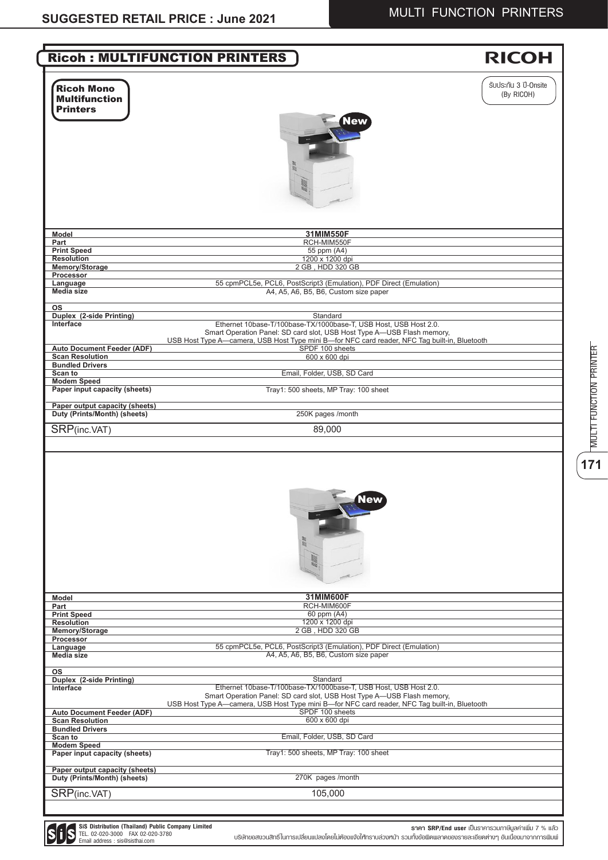| <b>Ricoh Mono</b><br><b>Multifunction</b><br><b>Printers</b><br>lew<br>31MIM550F<br>Model<br>RCH-MIM550F<br>Part<br><b>Print Speed</b><br>55 ppm (A4)<br>1200 x 1200 dpi<br><b>Resolution</b>                                                                              | SUUS:nu 3 ปี-Onsite<br>(By RICOH) |
|----------------------------------------------------------------------------------------------------------------------------------------------------------------------------------------------------------------------------------------------------------------------------|-----------------------------------|
|                                                                                                                                                                                                                                                                            |                                   |
|                                                                                                                                                                                                                                                                            |                                   |
|                                                                                                                                                                                                                                                                            |                                   |
|                                                                                                                                                                                                                                                                            |                                   |
|                                                                                                                                                                                                                                                                            |                                   |
| 2 GB, HDD 320 GB<br>Memory/Storage                                                                                                                                                                                                                                         |                                   |
| Processor                                                                                                                                                                                                                                                                  |                                   |
| Language<br>55 cpmPCL5e, PCL6, PostScript3 (Emulation), PDF Direct (Emulation)<br>A4, A5, A6, B5, B6, Custom size paper<br>Media size                                                                                                                                      |                                   |
| <b>OS</b><br>Duplex (2-side Printing)<br>Standard                                                                                                                                                                                                                          |                                   |
| Interface<br>Ethernet 10base-T/100base-TX/1000base-T, USB Host, USB Host 2.0.<br>Smart Operation Panel: SD card slot, USB Host Type A-USB Flash memory,<br>USB Host Type A—camera, USB Host Type mini B—for NFC card reader, NFC Tag built-in, Bluetooth                   |                                   |
| <b>Auto Document Feeder (ADF)</b><br>SPDF 100 sheets<br>600 x 600 dpi<br><b>Scan Resolution</b>                                                                                                                                                                            |                                   |
| <b>Bundled Drivers</b>                                                                                                                                                                                                                                                     |                                   |
| Scan to<br>Email, Folder, USB, SD Card                                                                                                                                                                                                                                     |                                   |
| <b>Modem Speed</b>                                                                                                                                                                                                                                                         |                                   |
| Paper input capacity (sheets)<br>Tray1: 500 sheets, MP Tray: 100 sheet                                                                                                                                                                                                     |                                   |
| Paper output capacity (sheets)                                                                                                                                                                                                                                             |                                   |
| Duty (Prints/Month) (sheets)<br>250K pages /month                                                                                                                                                                                                                          |                                   |
| SRP(inc.VAT)<br>89,000                                                                                                                                                                                                                                                     |                                   |
| New                                                                                                                                                                                                                                                                        |                                   |
|                                                                                                                                                                                                                                                                            |                                   |
| 31MIM600F                                                                                                                                                                                                                                                                  |                                   |
| RCH-MIM600F<br>60 ppm (A4)                                                                                                                                                                                                                                                 |                                   |
| 1200 x 1200 dpi                                                                                                                                                                                                                                                            |                                   |
| 2 GB, HDD 320 GB                                                                                                                                                                                                                                                           |                                   |
| 55 cpmPCL5e, PCL6, PostScript3 (Emulation), PDF Direct (Emulation)<br>A4, A5, A6, B5, B6, Custom size paper                                                                                                                                                                |                                   |
|                                                                                                                                                                                                                                                                            |                                   |
| Standard<br>Ethernet 10base-T/100base-TX/1000base-T, USB Host, USB Host 2.0.<br>Smart Operation Panel: SD card slot, USB Host Type A-USB Flash memory,                                                                                                                     |                                   |
| USB Host Type A—camera, USB Host Type mini B—for NFC card reader, NFC Tag built-in, Bluetooth<br>SPDF 100 sheets                                                                                                                                                           |                                   |
| Model<br>Part<br><b>Print Speed</b><br><b>Resolution</b><br>Memory/Storage<br>Processor<br>Language<br>Media size<br>os<br>Duplex (2-side Printing)<br>Interface<br><b>Auto Document Feeder (ADF)</b><br>600 x 600 dpi<br><b>Scan Resolution</b><br><b>Bundled Drivers</b> |                                   |
| Email, Folder, USB, SD Card                                                                                                                                                                                                                                                |                                   |
| Tray1: 500 sheets, MP Tray: 100 sheet                                                                                                                                                                                                                                      |                                   |
| Scan to<br><b>Modem Speed</b><br>Paper input capacity (sheets)<br>Paper output capacity (sheets)<br>270K pages/month<br>Duty (Prints/Month) (sheets)                                                                                                                       |                                   |

 $\begin{array}{c|c} \hline \textbf{1} & \textbf{0} & \textbf{0} \\ \hline \textbf{2} & \textbf{3} & \textbf{1} \\ \hline \textbf{3} & \textbf{1} & \textbf{1} \\ \hline \textbf{4} & \textbf{1} & \textbf{1} \\ \hline \textbf{5} & \textbf{1} & \textbf{1} \\ \hline \textbf{6} & \textbf{1} & \textbf{1} \\ \hline \textbf{7} & \textbf{1} & \textbf{1} \\ \hline \textbf{8} & \textbf{1} & \textbf{1} \\ \hline \textbf{9} & \textbf{1} & \text$ **171**MULTI FUNCTION PRINTER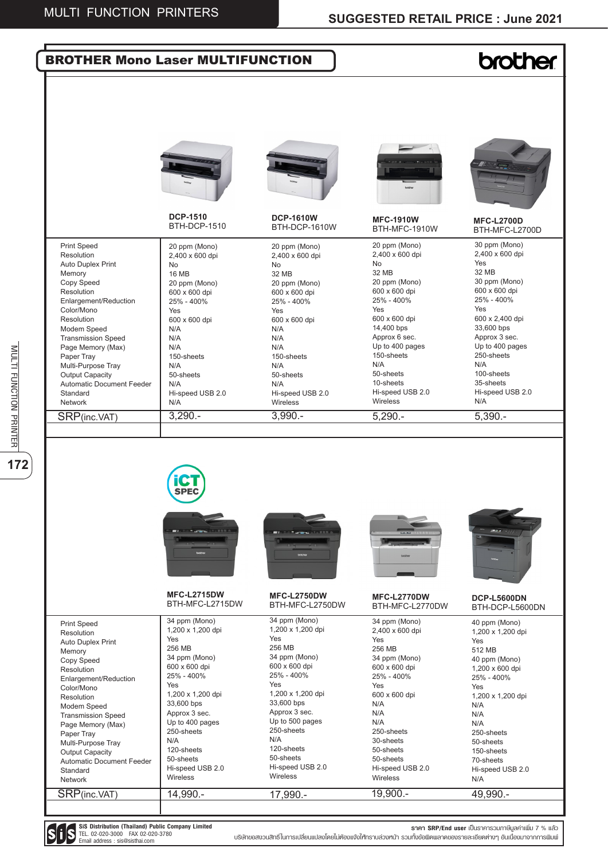## l **brother** BROTHER Mono Laser MULTIFUNCTION **DCP-1510 DCP-1610W MFC-1910W MFC-L2700D** BTH-DCP-1510 BTH-DCP-1610W BTH-MFC-1910W BTH-MFC-L2700D 20 ppm (Mono) 30 ppm (Mono) Print Speed 20 ppm (Mono) 20 ppm (Mono) Resolution 2,400 x 600 dpi 2,400 x 600 dpi 2,400 x 600 dpi 2,400 x 600 dpi Yes Auto Duplex Print No No No 32 MB 32 MB Memory 16 MB 32 MB 20 ppm (Mono) 30 ppm (Mono) Copy Speed 20 ppm (Mono) 20 ppm (Mono) 600 x 600 dpi Resolution 600 x 600 dpi 600 x 600 dpi 600 x 600 dpi 25% - 400% 25% - 400% Enlargement/Reduction 25% - 400% 25% - 400% Yes Color/Mono Yes Yes Yes 600 x 600 dpi 600 x 2,400 dpi Resolution 600 x 600 dpi 600 x 600 dpi 14,400 bps 33,600 bps Modem Speed N/A N/A Approx 3 sec. Transmission Speed N/A N/A Approx 6 sec. Up to 400 pages Up to 400 pages Page Memory (Max) N/A N/A 150-sheets 250-sheets Paper Tray 150-sheets 150-sheets N/A N/A Multi-Purpose Tray N/A N/A 100-sheets 50-sheets Output Capacity 50-sheets 50-sheets Automatic Document Feeder N/A 10-sheets 35-sheets N/A Hi-speed USB 2.0 Standard Hi-speed USB 2.0 Hi-speed USB 2.0 Hi-speed USB 2.0 N/A **Wireless** Wireless Network N/A 3,290.- 3,990.- SRP(inc.VAT) 5,290.- 5,390.- SPF **MFC-L2715DW MFC-L2750DW MFC-L2770DW DCP-L5600DN** BTH-MFC-L2715DW BTH-MFC-L2750DW BTH-MFC-L2770DW BTH-DCP-L5600DN 34 ppm (Mono) 34 ppm (Mono) 34 ppm (Mono) 40 ppm (Mono) Print Speed 1,200 x 1,200 dpi 1,200 x 1,200 dpi 2,400 x 600 dpi 1,200 x 1,200 dpi Resolution Yes Yes Yes Auto Duplex Print Yes 256 MB 256 MB 256 MB Memory 512 MB 34 ppm (Mono) 34 ppm (Mono) Copy Speed 34 ppm (Mono) 40 ppm (Mono) 600 x 600 dpi 600 x 600 dpi 600 x 600 dpi 1,200 x 600 dpi Resolution 25% - 400% 25% - 400% 25% - 400% 25% - 400% Enlargement/Reduction Yes Yes Yes Color/Mono Yes 1,200 x 1,200 dpi 1,200 x 1,200 dpi 600 x 600 dpi Resolution 1,200 x 1,200 dpi  $33,600$  bps 33,600 bps N/A N/A Modem Speed Approx 3 sec. Approx 3 sec. N/A N/A Transmission Speed Up to 400 pages Up to 500 pages N/A N/A Page Memory (Max) 250-sheets 250-sheets 250-sheets 250-sheets Paper Tray N/A N/A 30-sheets 50-sheets Multi-Purpose Tray 120-sheets 120-sheets 50-sheets 150-sheets Output Capacity 50-sheets 50-sheets 50-sheets 70-sheets Automatic Document Feeder Hi-speed USB 2.0 Hi-speed USB 2.0 Hi-speed USB 2.0 Hi-speed USB 2.0 Standard **Wireless** Wireless Wireless N/A Network 19,900.- 49,990.- SRP(inc.VAT) 14,990.-17,990.-



**172** MULTING PRINTER

172

MULTI FUNCTION PRINTER

**SiS Distribution (Thailand) Public Company Limited** TEL. 02-020-3000 FAX 02-020-3780 Email address : sis@sisthai.com

**ราคา SRP/End user** เป็นราคารวมภาษีมูลค่าเพิ่ม 7 % แล้ว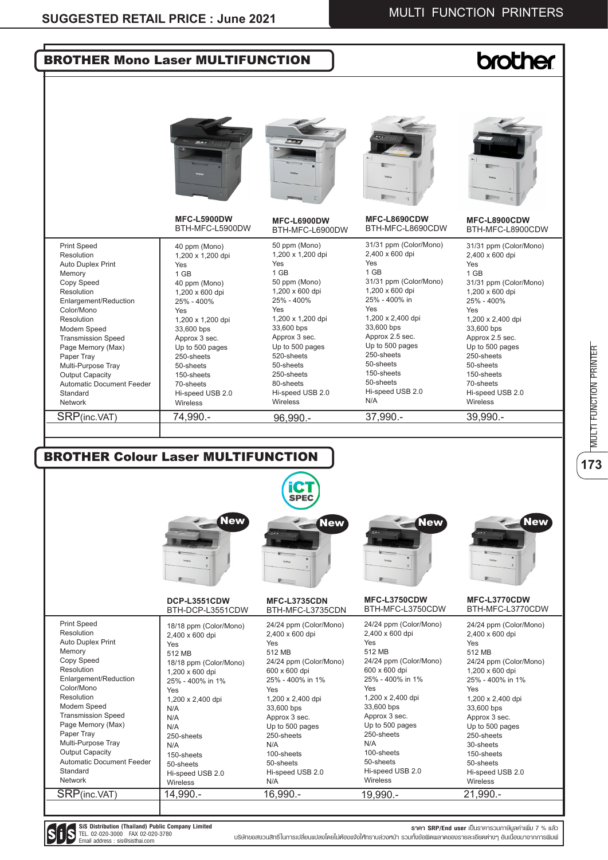**173**MULTI FUNCTION PRINTER

173

| <b>BROTHER Mono Laser MULTIFUNCTION</b>                                                                                                                                                                                                                                                                                                                  |                                                                                                                                                                                                                                                                         |                                                                                                                                                                                                                                                                                |                                                                                                                                                                                                                                                                                         | <b>brother</b>                                                                                                                                                                                                                                                                                                        |
|----------------------------------------------------------------------------------------------------------------------------------------------------------------------------------------------------------------------------------------------------------------------------------------------------------------------------------------------------------|-------------------------------------------------------------------------------------------------------------------------------------------------------------------------------------------------------------------------------------------------------------------------|--------------------------------------------------------------------------------------------------------------------------------------------------------------------------------------------------------------------------------------------------------------------------------|-----------------------------------------------------------------------------------------------------------------------------------------------------------------------------------------------------------------------------------------------------------------------------------------|-----------------------------------------------------------------------------------------------------------------------------------------------------------------------------------------------------------------------------------------------------------------------------------------------------------------------|
|                                                                                                                                                                                                                                                                                                                                                          |                                                                                                                                                                                                                                                                         |                                                                                                                                                                                                                                                                                |                                                                                                                                                                                                                                                                                         |                                                                                                                                                                                                                                                                                                                       |
|                                                                                                                                                                                                                                                                                                                                                          | MFC-L5900DW<br>BTH-MFC-L5900DW                                                                                                                                                                                                                                          | MFC-L6900DW<br>BTH-MFC-L6900DW                                                                                                                                                                                                                                                 | MFC-L8690CDW<br>BTH-MFC-L8690CDW                                                                                                                                                                                                                                                        | <b>Firm</b><br>MFC-L8900CDW<br>BTH-MFC-L8900CDW                                                                                                                                                                                                                                                                       |
| <b>Print Speed</b><br>Resolution<br><b>Auto Duplex Print</b><br>Memory<br>Copy Speed<br>Resolution<br>Enlargement/Reduction<br>Color/Mono<br>Resolution<br>Modem Speed<br><b>Transmission Speed</b><br>Page Memory (Max)<br>Paper Tray<br>Multi-Purpose Tray<br><b>Output Capacity</b><br><b>Automatic Document Feeder</b><br>Standard<br><b>Network</b> | 40 ppm (Mono)<br>1,200 x 1,200 dpi<br>Yes<br>1 GB<br>40 ppm (Mono)<br>1,200 x 600 dpi<br>25% - 400%<br>Yes<br>1,200 x 1,200 dpi<br>33,600 bps<br>Approx 3 sec.<br>Up to 500 pages<br>250-sheets<br>50-sheets<br>150-sheets<br>70-sheets<br>Hi-speed USB 2.0<br>Wireless | 50 ppm (Mono)<br>1,200 x 1,200 dpi<br>Yes<br>1 GB<br>50 ppm (Mono)<br>1,200 x 600 dpi<br>25% - 400%<br>Yes<br>1,200 x 1,200 dpi<br>33,600 bps<br>Approx 3 sec.<br>Up to 500 pages<br>520-sheets<br>50-sheets<br>250-sheets<br>80-sheets<br>Hi-speed USB 2.0<br><b>Wireless</b> | 31/31 ppm (Color/Mono)<br>2,400 x 600 dpi<br>Yes<br>1 GB<br>31/31 ppm (Color/Mono)<br>1,200 x 600 dpi<br>25% - 400% in<br>Yes<br>1,200 x 2,400 dpi<br>33,600 bps<br>Approx 2.5 sec.<br>Up to 500 pages<br>250-sheets<br>50-sheets<br>150-sheets<br>50-sheets<br>Hi-speed USB 2.0<br>N/A | 31/31 ppm (Color/Mono)<br>2,400 x 600 dpi<br>Yes<br>1 GB<br>31/31 ppm (Color/Mono)<br>1,200 x 600 dpi<br>25% - 400%<br>Yes<br>1,200 x 2,400 dpi<br>33,600 bps<br>Approx 2.5 sec.<br>Up to 500 pages<br>250-sheets<br>50-sheets<br>150-sheets<br>70-sheets<br>Hi-speed USB 2.0<br>Wireless                             |
|                                                                                                                                                                                                                                                                                                                                                          |                                                                                                                                                                                                                                                                         |                                                                                                                                                                                                                                                                                |                                                                                                                                                                                                                                                                                         |                                                                                                                                                                                                                                                                                                                       |
|                                                                                                                                                                                                                                                                                                                                                          |                                                                                                                                                                                                                                                                         |                                                                                                                                                                                                                                                                                |                                                                                                                                                                                                                                                                                         |                                                                                                                                                                                                                                                                                                                       |
|                                                                                                                                                                                                                                                                                                                                                          | <b>New</b>                                                                                                                                                                                                                                                              | iCT<br><b>SPEC</b><br><b>New</b>                                                                                                                                                                                                                                               | <b>New</b>                                                                                                                                                                                                                                                                              |                                                                                                                                                                                                                                                                                                                       |
| <b>BROTHER Colour Laser MULTIFUNCTION</b>                                                                                                                                                                                                                                                                                                                | DCP-L3551CDW<br>BTH-DCP-L3551CDW                                                                                                                                                                                                                                        | MFC-L3735CDN<br>BTH-MFC-L3735CDN                                                                                                                                                                                                                                               | MFC-L3750CDW<br>BTH-MFC-L3750CDW                                                                                                                                                                                                                                                        | MFC-L3770CDW                                                                                                                                                                                                                                                                                                          |
| <b>Print Speed</b><br>Resolution<br>Auto Duplex Print<br>Memory<br>Copy Speed<br>Resolution<br>Enlargement/Reduction<br>Color/Mono<br>Resolution<br>Modem Speed<br><b>Transmission Speed</b><br>Page Memory (Max)<br>Paper Tray<br>Multi-Purpose Tray<br><b>Output Capacity</b><br><b>Automatic Document Feeder</b><br>Standard                          | 18/18 ppm (Color/Mono)<br>2,400 x 600 dpi<br>Yes<br>512 MB<br>18/18 ppm (Color/Mono)<br>1,200 x 600 dpi<br>25% - 400% in 1%<br>Yes<br>1,200 x 2,400 dpi<br>N/A<br>N/A<br>N/A<br>250-sheets<br>N/A<br>150-sheets<br>50-sheets<br>Hi-speed USB 2.0                        | 24/24 ppm (Color/Mono)<br>2,400 x 600 dpi<br>Yes<br>512 MB<br>24/24 ppm (Color/Mono)<br>600 x 600 dpi<br>25% - 400% in 1%<br>Yes<br>1,200 x 2,400 dpi<br>33,600 bps<br>Approx 3 sec.<br>Up to 500 pages<br>250-sheets<br>N/A<br>100-sheets<br>50-sheets<br>Hi-speed USB 2.0    | 24/24 ppm (Color/Mono)<br>2,400 x 600 dpi<br>Yes<br>512 MB<br>24/24 ppm (Color/Mono)<br>600 x 600 dpi<br>25% - 400% in 1%<br>Yes<br>1,200 x 2,400 dpi<br>33,600 bps<br>Approx 3 sec.<br>Up to 500 pages<br>250-sheets<br>N/A<br>100-sheets<br>50-sheets<br>Hi-speed USB 2.0             | <b>New</b><br>BTH-MFC-L3770CDW<br>24/24 ppm (Color/Mono)<br>2,400 x 600 dpi<br>Yes<br>512 MB<br>24/24 ppm (Color/Mono)<br>1,200 x 600 dpi<br>25% - 400% in 1%<br>Yes<br>1,200 x 2,400 dpi<br>33,600 bps<br>Approx 3 sec.<br>Up to 500 pages<br>250-sheets<br>30-sheets<br>150-sheets<br>50-sheets<br>Hi-speed USB 2.0 |



**ราคา SRP/End user** เป็นราคารวมภาษีมูลค่าเพิ่ม 7 % แล้ว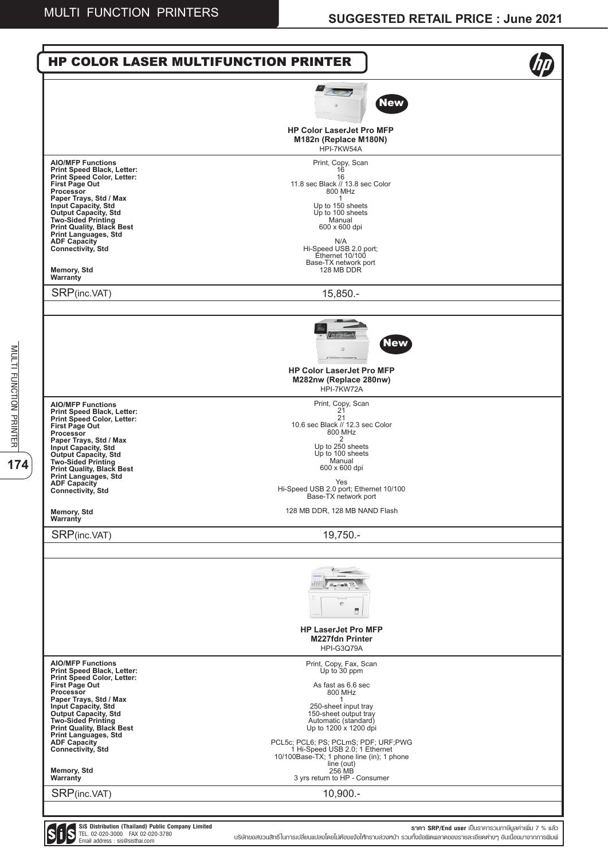**174** MULTING PRINTER

174

MULTI FUNCTION PRINTER

| <b>New</b><br><b>HP Color LaserJet Pro MFP</b><br>M182n (Replace M180N)<br>HPI-7KW54A<br><b>AIO/MFP Functions</b><br>Print, Copy, Scan<br>Print Speed Black, Letter:<br>16<br><b>Print Speed Color, Letter:</b><br>16<br>11.8 sec Black // 13.8 sec Color<br><b>First Page Out</b><br>800 MHz<br>Processor<br>Paper Trays, Std / Max<br><b>Input Capacity, Std</b><br>Up to 150 sheets<br>Output Capacity, Std<br>Up to 100 sheets<br><b>Two-Sided Printing</b><br>Manual<br><b>Print Quality, Black Best</b><br>600 x 600 dpi<br><b>Print Languages, Std</b><br><b>ADF Capacity</b><br>N/A<br><b>Connectivity, Std</b><br>Hi-Speed USB 2.0 port;<br>Ethernet 10/100<br>Base-TX network port<br><b>Memory, Std</b><br>128 MB DDR<br>Warranty<br>SRP(inc.VAT)<br>$15,850. -$<br><b>New</b><br><b>HP Color LaserJet Pro MFP</b><br>M282nw (Replace 280nw)<br>HPI-7KW72A<br>Print, Copy, Scan<br><b>AIO/MFP Functions</b><br>21<br>Print Speed Black, Letter:<br>21<br><b>Print Speed Color, Letter:</b><br>10.6 sec Black // 12.3 sec Color<br><b>First Page Out</b><br>800 MHz<br>Processor<br>2<br>Paper Trays, Std / Max<br>Up to 250 sheets<br><b>Input Capacity, Std</b><br>Up to 100 sheets<br>Output Capacity, Std<br>Manual<br><b>Two-Sided Printing</b><br>600 x 600 dpi<br><b>Print Quality, Black Best</b><br><b>Print Languages, Std</b><br>Yes<br><b>ADF Capacity</b><br>Hi-Speed USB 2.0 port; Ethernet 10/100<br><b>Connectivity, Std</b><br>Base-TX network port<br>128 MB DDR, 128 MB NAND Flash<br><b>Memory, Std</b><br>Warranty<br>SRP(inc.VAT)<br>19,750.-<br>m<br><b>HP LaserJet Pro MFP</b><br><b>M227fdn Printer</b><br>HPI-G3Q79A<br><b>AIO/MFP Functions</b><br>Print, Copy, Fax, Scan<br>Print Speed Black, Letter:<br>Up to 30 ppm<br>Print Speed Color, Letter:<br><b>First Page Out</b><br>As fast as 6.6 sec<br>Processor<br>800 MHz<br>Paper Trays, Std / Max<br>1<br>250-sheet input tray<br><b>Input Capacity, Std</b><br>Output Capacity, Std<br>150-sheet output tray<br><b>Two-Sided Printing</b><br>Automatic (standard)<br><b>Print Quality, Black Best</b><br>Up to 1200 x 1200 dpi<br>Print Languages, Std<br><b>ADF Capacity</b><br>PCL5c; PCL6; PS; PCLmS; PDF; URF;PWG<br>1 Hi-Speed USB 2.0; 1 Ethernet<br><b>Connectivity, Std</b><br>10/100Base-TX; 1 phone line (in); 1 phone<br>line (out)<br>256 MB<br><b>Memory, Std</b><br>3 yrs return to HP - Consumer<br>Warranty<br>SRP(inc.VAT)<br>10,900.- | <b>HP COLOR LASER MULTIFUNCTION PRINTER</b> |  |
|----------------------------------------------------------------------------------------------------------------------------------------------------------------------------------------------------------------------------------------------------------------------------------------------------------------------------------------------------------------------------------------------------------------------------------------------------------------------------------------------------------------------------------------------------------------------------------------------------------------------------------------------------------------------------------------------------------------------------------------------------------------------------------------------------------------------------------------------------------------------------------------------------------------------------------------------------------------------------------------------------------------------------------------------------------------------------------------------------------------------------------------------------------------------------------------------------------------------------------------------------------------------------------------------------------------------------------------------------------------------------------------------------------------------------------------------------------------------------------------------------------------------------------------------------------------------------------------------------------------------------------------------------------------------------------------------------------------------------------------------------------------------------------------------------------------------------------------------------------------------------------------------------------------------------------------------------------------------------------------------------------------------------------------------------------------------------------------------------------------------------------------------------------------------------------------------------------------------------------------------------------------------------------------------------------------------------------------------------------------------------------------------------------------------------------------------------|---------------------------------------------|--|
|                                                                                                                                                                                                                                                                                                                                                                                                                                                                                                                                                                                                                                                                                                                                                                                                                                                                                                                                                                                                                                                                                                                                                                                                                                                                                                                                                                                                                                                                                                                                                                                                                                                                                                                                                                                                                                                                                                                                                                                                                                                                                                                                                                                                                                                                                                                                                                                                                                                    |                                             |  |
|                                                                                                                                                                                                                                                                                                                                                                                                                                                                                                                                                                                                                                                                                                                                                                                                                                                                                                                                                                                                                                                                                                                                                                                                                                                                                                                                                                                                                                                                                                                                                                                                                                                                                                                                                                                                                                                                                                                                                                                                                                                                                                                                                                                                                                                                                                                                                                                                                                                    |                                             |  |
|                                                                                                                                                                                                                                                                                                                                                                                                                                                                                                                                                                                                                                                                                                                                                                                                                                                                                                                                                                                                                                                                                                                                                                                                                                                                                                                                                                                                                                                                                                                                                                                                                                                                                                                                                                                                                                                                                                                                                                                                                                                                                                                                                                                                                                                                                                                                                                                                                                                    |                                             |  |
|                                                                                                                                                                                                                                                                                                                                                                                                                                                                                                                                                                                                                                                                                                                                                                                                                                                                                                                                                                                                                                                                                                                                                                                                                                                                                                                                                                                                                                                                                                                                                                                                                                                                                                                                                                                                                                                                                                                                                                                                                                                                                                                                                                                                                                                                                                                                                                                                                                                    |                                             |  |
|                                                                                                                                                                                                                                                                                                                                                                                                                                                                                                                                                                                                                                                                                                                                                                                                                                                                                                                                                                                                                                                                                                                                                                                                                                                                                                                                                                                                                                                                                                                                                                                                                                                                                                                                                                                                                                                                                                                                                                                                                                                                                                                                                                                                                                                                                                                                                                                                                                                    |                                             |  |
|                                                                                                                                                                                                                                                                                                                                                                                                                                                                                                                                                                                                                                                                                                                                                                                                                                                                                                                                                                                                                                                                                                                                                                                                                                                                                                                                                                                                                                                                                                                                                                                                                                                                                                                                                                                                                                                                                                                                                                                                                                                                                                                                                                                                                                                                                                                                                                                                                                                    |                                             |  |
|                                                                                                                                                                                                                                                                                                                                                                                                                                                                                                                                                                                                                                                                                                                                                                                                                                                                                                                                                                                                                                                                                                                                                                                                                                                                                                                                                                                                                                                                                                                                                                                                                                                                                                                                                                                                                                                                                                                                                                                                                                                                                                                                                                                                                                                                                                                                                                                                                                                    |                                             |  |
|                                                                                                                                                                                                                                                                                                                                                                                                                                                                                                                                                                                                                                                                                                                                                                                                                                                                                                                                                                                                                                                                                                                                                                                                                                                                                                                                                                                                                                                                                                                                                                                                                                                                                                                                                                                                                                                                                                                                                                                                                                                                                                                                                                                                                                                                                                                                                                                                                                                    |                                             |  |
|                                                                                                                                                                                                                                                                                                                                                                                                                                                                                                                                                                                                                                                                                                                                                                                                                                                                                                                                                                                                                                                                                                                                                                                                                                                                                                                                                                                                                                                                                                                                                                                                                                                                                                                                                                                                                                                                                                                                                                                                                                                                                                                                                                                                                                                                                                                                                                                                                                                    |                                             |  |
|                                                                                                                                                                                                                                                                                                                                                                                                                                                                                                                                                                                                                                                                                                                                                                                                                                                                                                                                                                                                                                                                                                                                                                                                                                                                                                                                                                                                                                                                                                                                                                                                                                                                                                                                                                                                                                                                                                                                                                                                                                                                                                                                                                                                                                                                                                                                                                                                                                                    |                                             |  |

**SiS Distribution (Thailand) Public Company Limited** TEL. 02-020-3000 FAX 02-020-3780 Email address : sis@sisthai.com

**ราคา SRP/End user** เป็นราคารวมภาษีมูลค่าเพิ่ม 7 % แล้ว บริษัทขอสงวนสิทธิ์ในการเปลี่ยนแปลงโดยไม่ต้องแจ้งให้ทราบล่วงหน้า รวมทั้งข้อผิดพลาดของรายละเอียดต่างๆ อันเนื่องมาจากการพิมพ์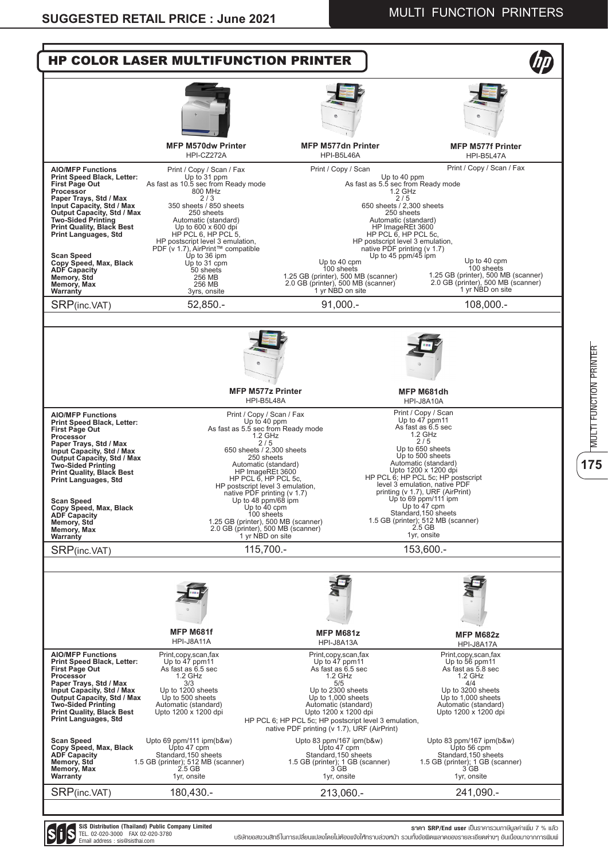



**SiS Distribution (Thailand) Public Company Limited** TEL. 02-020-3000 FAX 02-020-3780 Email address : sis@sisthai.com

**ราคา SRP/End user** เป็นราคารวมภาษีมูลค่าเพิ่ม 7 % แล้ว